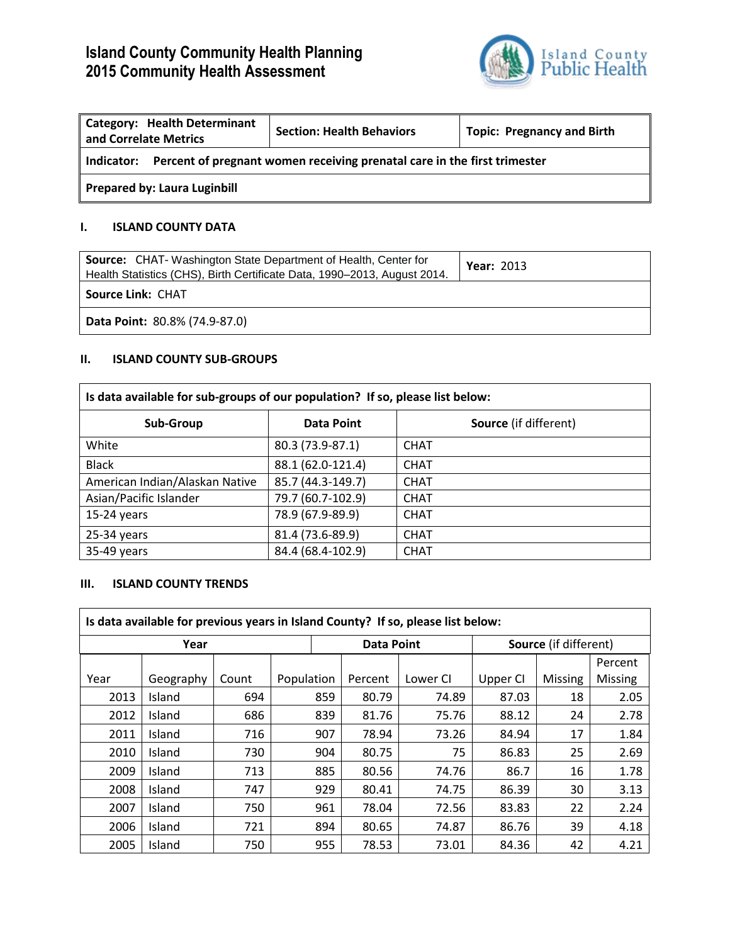# **Island County Community Health Planning 2015 Community Health Assessment**



| Category: Health Determinant<br>and Correlate Metrics                               | <b>Section: Health Behaviors</b> | <b>Topic: Pregnancy and Birth</b> |  |  |  |  |
|-------------------------------------------------------------------------------------|----------------------------------|-----------------------------------|--|--|--|--|
| Indicator: Percent of pregnant women receiving prenatal care in the first trimester |                                  |                                   |  |  |  |  |
| Prepared by: Laura Luginbill                                                        |                                  |                                   |  |  |  |  |

### **I. ISLAND COUNTY DATA**

| Source: CHAT-Washington State Department of Health, Center for<br>Health Statistics (CHS), Birth Certificate Data, 1990-2013, August 2014. | <b>Year: 2013</b> |  |  |  |  |
|--------------------------------------------------------------------------------------------------------------------------------------------|-------------------|--|--|--|--|
| <b>Source Link: CHAT</b>                                                                                                                   |                   |  |  |  |  |
| Data Point: 80.8% (74.9-87.0)                                                                                                              |                   |  |  |  |  |

#### **II. ISLAND COUNTY SUB-GROUPS**

 $\mathsf{r}$ 

| Is data available for sub-groups of our population? If so, please list below: |                   |                              |  |  |  |  |
|-------------------------------------------------------------------------------|-------------------|------------------------------|--|--|--|--|
| Sub-Group                                                                     | Data Point        | <b>Source</b> (if different) |  |  |  |  |
| White                                                                         | 80.3 (73.9-87.1)  | <b>CHAT</b>                  |  |  |  |  |
| <b>Black</b>                                                                  | 88.1 (62.0-121.4) | <b>CHAT</b>                  |  |  |  |  |
| American Indian/Alaskan Native                                                | 85.7 (44.3-149.7) | <b>CHAT</b>                  |  |  |  |  |
| Asian/Pacific Islander                                                        | 79.7 (60.7-102.9) | <b>CHAT</b>                  |  |  |  |  |
| $15-24$ years                                                                 | 78.9 (67.9-89.9)  | <b>CHAT</b>                  |  |  |  |  |
| $25-34$ years                                                                 | 81.4 (73.6-89.9)  | <b>CHAT</b>                  |  |  |  |  |
| 35-49 years                                                                   | 84.4 (68.4-102.9) | <b>CHAT</b>                  |  |  |  |  |

# **III. ISLAND COUNTY TRENDS**

| Is data available for previous years in Island County? If so, please list below: |           |       |            |                   |         |          |                              |                |                |
|----------------------------------------------------------------------------------|-----------|-------|------------|-------------------|---------|----------|------------------------------|----------------|----------------|
| Year                                                                             |           |       |            | <b>Data Point</b> |         |          | <b>Source</b> (if different) |                |                |
|                                                                                  |           |       |            |                   |         |          |                              |                | Percent        |
| Year                                                                             | Geography | Count | Population |                   | Percent | Lower Cl | Upper CI                     | <b>Missing</b> | <b>Missing</b> |
| 2013                                                                             | Island    | 694   |            | 859               | 80.79   | 74.89    | 87.03                        | 18             | 2.05           |
| 2012                                                                             | Island    | 686   |            | 839               | 81.76   | 75.76    | 88.12                        | 24             | 2.78           |
| 2011                                                                             | Island    | 716   |            | 907               | 78.94   | 73.26    | 84.94                        | 17             | 1.84           |
| 2010                                                                             | Island    | 730   |            | 904               | 80.75   | 75       | 86.83                        | 25             | 2.69           |
| 2009                                                                             | Island    | 713   |            | 885               | 80.56   | 74.76    | 86.7                         | 16             | 1.78           |
| 2008                                                                             | Island    | 747   |            | 929               | 80.41   | 74.75    | 86.39                        | 30             | 3.13           |
| 2007                                                                             | Island    | 750   |            | 961               | 78.04   | 72.56    | 83.83                        | 22             | 2.24           |
| 2006                                                                             | Island    | 721   |            | 894               | 80.65   | 74.87    | 86.76                        | 39             | 4.18           |
| 2005                                                                             | Island    | 750   |            | 955               | 78.53   | 73.01    | 84.36                        | 42             | 4.21           |